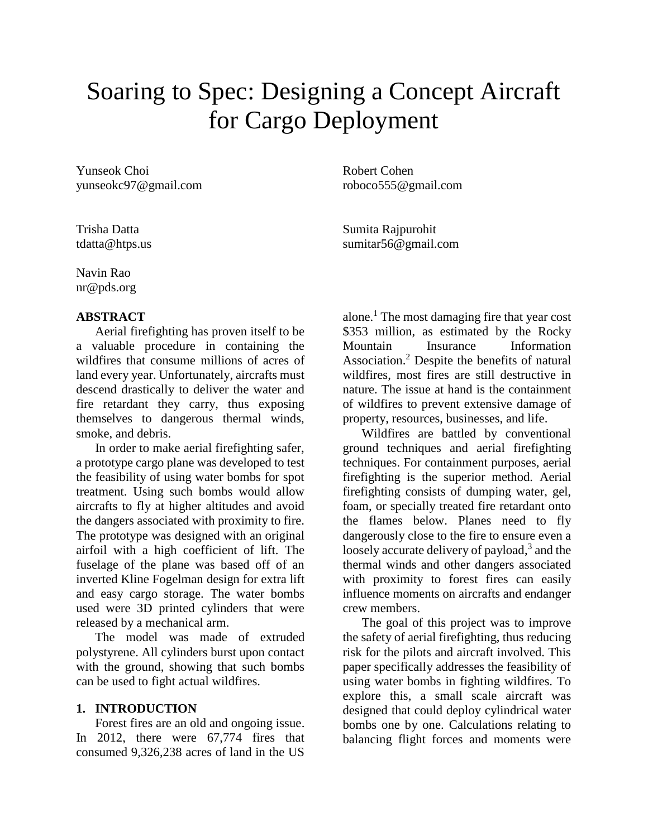# Soaring to Spec: Designing a Concept Aircraft for Cargo Deployment

Yunseok Choi Robert Cohen yunseokc97@gmail.com roboco555@gmail.com

Navin Rao nr@pds.org

## **ABSTRACT**

Aerial firefighting has proven itself to be a valuable procedure in containing the wildfires that consume millions of acres of land every year. Unfortunately, aircrafts must descend drastically to deliver the water and fire retardant they carry, thus exposing themselves to dangerous thermal winds, smoke, and debris.

In order to make aerial firefighting safer, a prototype cargo plane was developed to test the feasibility of using water bombs for spot treatment. Using such bombs would allow aircrafts to fly at higher altitudes and avoid the dangers associated with proximity to fire. The prototype was designed with an original airfoil with a high coefficient of lift. The fuselage of the plane was based off of an inverted Kline Fogelman design for extra lift and easy cargo storage. The water bombs used were 3D printed cylinders that were released by a mechanical arm.

The model was made of extruded polystyrene. All cylinders burst upon contact with the ground, showing that such bombs can be used to fight actual wildfires.

## **1. INTRODUCTION**

Forest fires are an old and ongoing issue. In 2012, there were 67,774 fires that consumed 9,326,238 acres of land in the US

Trisha Datta **Sumita Rajpurohit** tdatta@htps.us sumitar56@gmail.com

> alone.<sup>1</sup> The most damaging fire that year cost \$353 million, as estimated by the Rocky Insurance Information Association.<sup>2</sup> Despite the benefits of natural wildfires, most fires are still destructive in nature. The issue at hand is the containment of wildfires to prevent extensive damage of property, resources, businesses, and life.

> Wildfires are battled by conventional ground techniques and aerial firefighting techniques. For containment purposes, aerial firefighting is the superior method. Aerial firefighting consists of dumping water, gel, foam, or specially treated fire retardant onto the flames below. Planes need to fly dangerously close to the fire to ensure even a loosely accurate delivery of payload, $3$  and the thermal winds and other dangers associated with proximity to forest fires can easily influence moments on aircrafts and endanger crew members.

> The goal of this project was to improve the safety of aerial firefighting, thus reducing risk for the pilots and aircraft involved. This paper specifically addresses the feasibility of using water bombs in fighting wildfires. To explore this, a small scale aircraft was designed that could deploy cylindrical water bombs one by one. Calculations relating to balancing flight forces and moments were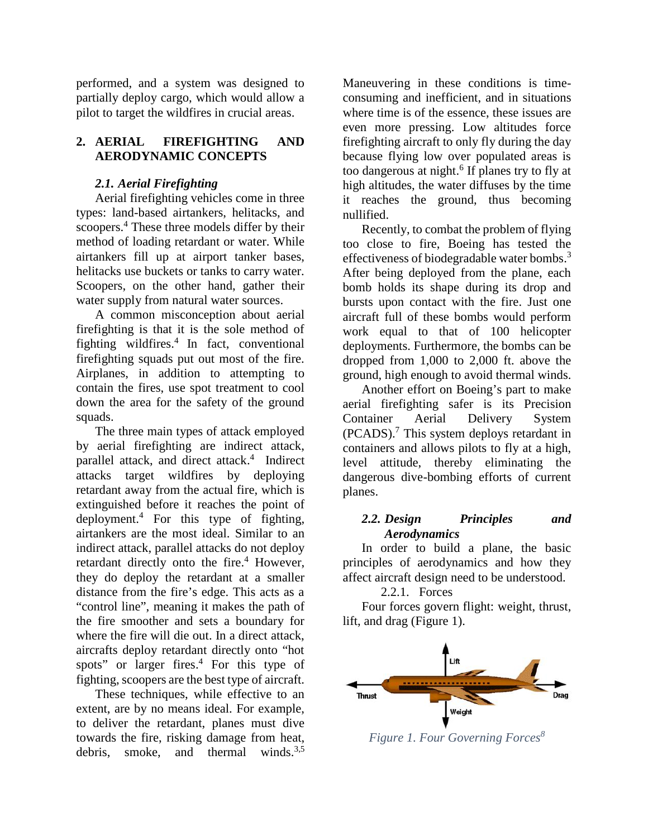performed, and a system was designed to partially deploy cargo, which would allow a pilot to target the wildfires in crucial areas.

## **2. AERIAL FIREFIGHTING AND AERODYNAMIC CONCEPTS**

## *2.1. Aerial Firefighting*

Aerial firefighting vehicles come in three types: land-based airtankers, helitacks, and scoopers.<sup>4</sup> These three models differ by their method of loading retardant or water. While airtankers fill up at airport tanker bases, helitacks use buckets or tanks to carry water. Scoopers, on the other hand, gather their water supply from natural water sources.

A common misconception about aerial firefighting is that it is the sole method of fighting wildfires.<sup>4</sup> In fact, conventional firefighting squads put out most of the fire. Airplanes, in addition to attempting to contain the fires, use spot treatment to cool down the area for the safety of the ground squads.

The three main types of attack employed by aerial firefighting are indirect attack, parallel attack, and direct attack.<sup>4</sup> Indirect attacks target wildfires by deploying retardant away from the actual fire, which is extinguished before it reaches the point of deployment.<sup>4</sup> For this type of fighting, airtankers are the most ideal. Similar to an indirect attack, parallel attacks do not deploy retardant directly onto the fire.<sup>4</sup> However, they do deploy the retardant at a smaller distance from the fire's edge. This acts as a "control line", meaning it makes the path of the fire smoother and sets a boundary for where the fire will die out. In a direct attack, aircrafts deploy retardant directly onto "hot spots" or larger fires.<sup>4</sup> For this type of fighting, scoopers are the best type of aircraft.

These techniques, while effective to an extent, are by no means ideal. For example, to deliver the retardant, planes must dive towards the fire, risking damage from heat, debris, smoke, and thermal winds.<sup>3,5</sup>

Maneuvering in these conditions is time consuming and inefficient, and in situations where time is of the essence, these issues are even more pressing. Low altitudes force firefighting aircraft to only fly during the day because flying low over populated areas is too dangerous at night.<sup>6</sup> If planes try to fly at high altitudes, the water diffuses by the time it reaches the ground, thus becoming nullified.

Recently, to combat the problem of flying too close to fire, Boeing has tested the effectiveness of biodegradable water bombs.<sup>3</sup> After being deployed from the plane, each bomb holds its shape during its drop and bursts upon contact with the fire. Just one aircraft full of these bombs would perform work equal to that of 100 helicopter deployments. Furthermore, the bombs can be dropped from 1,000 to 2,000 ft. above the ground, high enough to avoid thermal winds.

Another effort on Boeing's part to make aerial firefighting safer is its Precision Container Aerial Delivery System  $(PCADS)$ .<sup>7</sup> This system deploys retardant in containers and allows pilots to fly at a high, level attitude, thereby eliminating the dangerous dive-bombing efforts of current planes.

## *2.2. Design Principles and Aerodynamics*

In order to build a plane, the basic principles of aerodynamics and how they affect aircraft design need to be understood.

2.2.1. Forces

Four forces govern flight: weight, thrust, lift, and drag (Figure 1).



*Figure 1. Four Governing Forces<sup>8</sup>*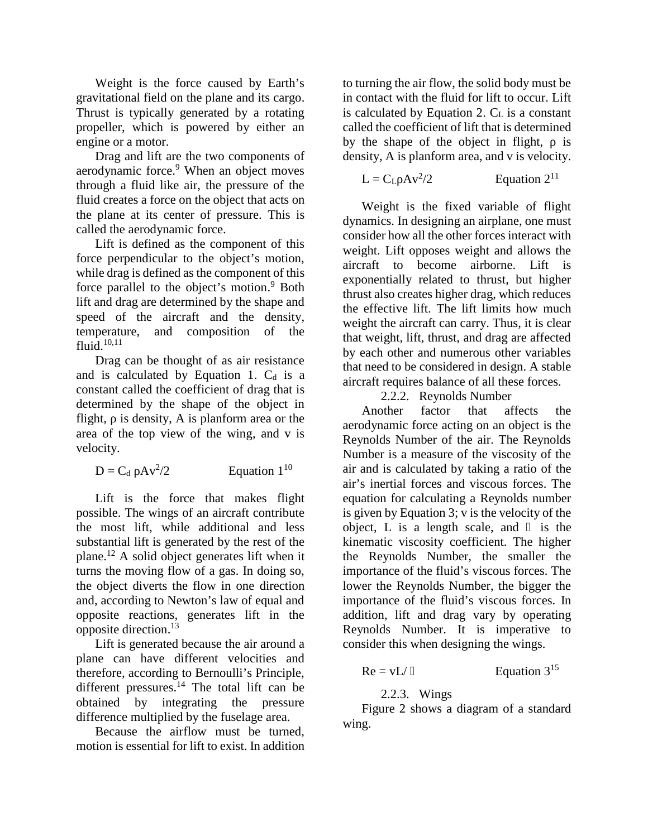Weight is the force caused by Earth's gravitational field on the plane and its cargo. Thrust is typically generated by a rotating propeller, which is powered by either an engine or a motor.

Drag and lift are the two components of aerodynamic force.<sup>9</sup> When an object moves through a fluid like air, the pressure of the fluid creates a force on the object that acts on the plane at its center of pressure. This is called the aerodynamic force.

Lift is defined as the component of this force perpendicular to the object's motion, while drag is defined as the component of this force parallel to the object's motion.<sup>9</sup> Both lift and drag are determined by the shape and speed of the aircraft and the density, temperature, and composition of the fluid. $10,11$ 

Drag can be thought of as air resistance and is calculated by Equation 1.  $C_d$  is a constant called the coefficient of drag that is determined by the shape of the object in flight, is density, A is planform area or the area of the top view of the wing, and v is velocity.

$$
D = C_d \quad Av^2/2 \qquad \qquad \text{Equation } 1^{10}
$$

Lift is the force that makes flight possible. The wings of an aircraft contribute the most lift, while additional and less substantial lift is generated by the rest of the plane.<sup>12</sup> A solid object generates lift when it turns the moving flow of a gas. In doing so, the object diverts the flow in one direction and, according to Newton's law of equal and opposite reactions, generates lift in the opposite direction.<sup>13</sup>

Lift is generated because the air around a plane can have different velocities and therefore, according to Bernoulli's Principle, different pressures. $^{14}$  The total lift can be obtained by integrating the pressure difference multiplied by the fuselage area.

Because the airflow must be turned, motion is essential for lift to exist. In addition to turning the air flow, the solid body must be in contact with the fluid for lift to occur. Lift is calculated by Equation 2.  $C<sub>L</sub>$  is a constant called the coefficient of lift that is determined by the shape of the object in flight, is density, A is planform area, and v is velocity.

$$
L = C_L \, Av^2/2 \qquad \qquad \text{Equation } 2^{11}
$$

Weight is the fixed variable of flight dynamics. In designing an airplane, one must consider how all the other forces interact with weight. Lift opposes weight and allows the aircraft to become airborne. Lift is exponentially related to thrust, but higher thrust also creates higher drag, which reduces the effective lift. The lift limits how much weight the aircraft can carry. Thus, it is clear that weight, lift, thrust, and drag are affected by each other and numerous other variables that need to be considered in design. A stable aircraft requires balance of all these forces.

2.2.2. Reynolds Number

Another factor that affects the aerodynamic force acting on an object is the Reynolds Number of the air. The Reynolds Number is a measure of the viscosity of the air and is calculated by taking a ratio of the air's inertial forces and viscous forces. The equation for calculating a Reynolds number is given by Equation 3; v is the velocity of the object, L is a length scale, and is the kinematic viscosity coefficient. The higher the Reynolds Number, the smaller the importance of the fluid's viscous forces. The lower the Reynolds Number, the bigger the importance of the fluid's viscous forces. In addition, lift and drag vary by operating Reynolds Number. It is imperative to consider this when designing the wings.

$$
Re = vL / \t\t Equation 315
$$

2.2.3. Wings

Figure 2 shows a diagram of a standard wing.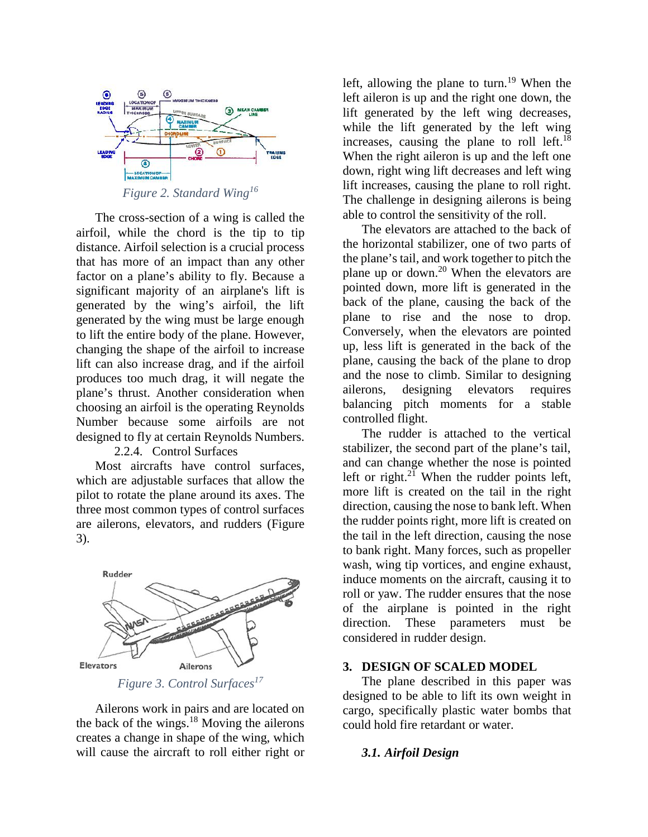

The cross-section of a wing is called the airfoil, while the chord is the tip to tip distance. Airfoil selection is a crucial process that has more of an impact than any other factor on a plane's ability to fly. Because a significant majority of an airplane's lift is generated by the wing's airfoil, the lift generated by the wing must be large enough to lift the entire body of the plane. However, changing the shape of the airfoil to increase lift can also increase drag, and if the airfoil produces too much drag, it will negate the and the r<br>plane's thrust. Another consideration when allerons, plane's thrust. Another consideration when choosing an airfoil is the operating Reynolds Number because some airfoils are not designed to fly at certain Reynolds Numbers.

## 2.2.4. Control Surfaces

Most aircrafts have control surfaces, which are adjustable surfaces that allow the pilot to rotate the plane around its axes. The three most common types of control surfaces are ailerons, elevators, and rudders (Figure 3).



*Figure 3. Control Surfaces<sup>17</sup>*

Ailerons work in pairs and are located on the back of the wings.<sup>18</sup> Moving the ailerons creates a change in shape of the wing, which will cause the aircraft to roll either right or left, allowing the plane to turn.<sup>19</sup> When the left aileron is up and the right one down, the lift generated by the left wing decreases, while the lift generated by the left wing increases, causing the plane to roll left.<sup>18</sup> When the right aileron is up and the left one down, right wing lift decreases and left wing lift increases, causing the plane to roll right. The challenge in designing ailerons is being able to control the sensitivity of the roll.

The elevators are attached to the back of the horizontal stabilizer, one of two parts of the plane's tail, and work together to pitch the plane up or down.<sup>20</sup> When the elevators are pointed down, more lift is generated in the back of the plane, causing the back of the plane to rise and the nose to drop. Conversely, when the elevators are pointed up, less lift is generated in the back of the plane, causing the back of the plane to drop and the nose to climb. Similar to designing designing elevators requires balancing pitch moments for a stable controlled flight.

The rudder is attached to the vertical stabilizer, the second part of the plane's tail, and can change whether the nose is pointed left or right. $2\overline{1}$  When the rudder points left, more lift is created on the tail in the right direction, causing the nose to bank left. When the rudder points right, more lift is created on the tail in the left direction, causing the nose to bank right. Many forces, such as propeller wash, wing tip vortices, and engine exhaust, induce moments on the aircraft, causing it to roll or yaw. The rudder ensures that the nose of the airplane is pointed in the right direction. These parameters must be considered in rudder design.

#### **3. DESIGN OF SCALED MODEL**

The plane described in this paper was designed to be able to lift its own weight in cargo, specifically plastic water bombs that could hold fire retardant or water.

#### *3.1. Airfoil Design*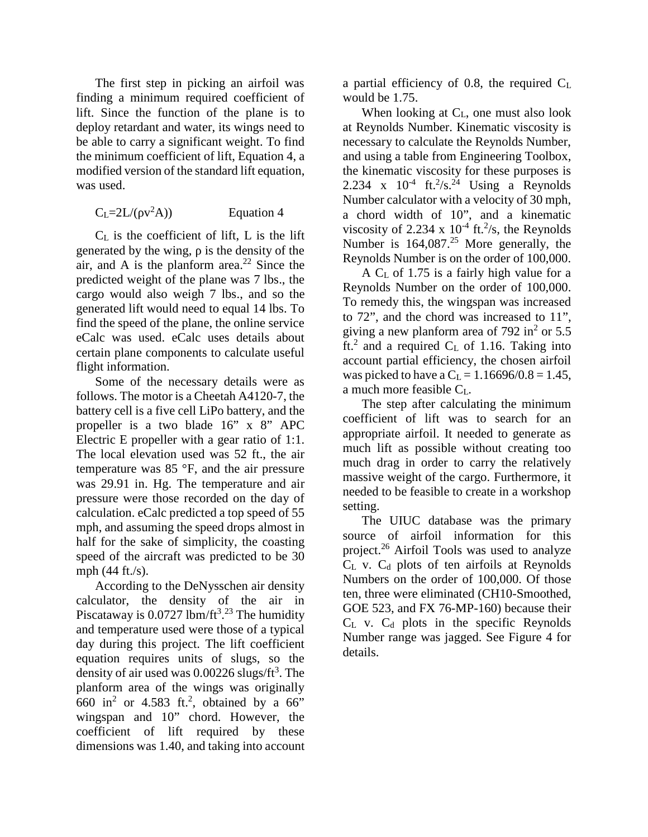The first step in picking an airfoil was finding a minimum required coefficient of lift. Since the function of the plane is to deploy retardant and water, its wings need to be able to carry a significant weight. To find the minimum coefficient of lift, Equation 4, a modified version of the standard lift equation, was used.

$$
C_L = 2L/(v^2 A))
$$
 Equation 4

 $C_L$  is the coefficient of lift, L is the lift generated by the wing, is the density of the air, and A is the planform area.<sup>22</sup> Since the predicted weight of the plane was 7 lbs., the cargo would also weigh 7 lbs., and so the generated lift would need to equal 14 lbs. To find the speed of the plane, the online service eCalc was used. eCalc uses details about certain plane components to calculate useful flight information.

Some of the necessary details were as follows. The motor is a Cheetah A4120-7, the battery cell is a five cell LiPo battery, and the propeller is a two blade 16" x 8" APC Electric E propeller with a gear ratio of 1:1. The local elevation used was 52 ft., the air temperature was 85 °F, and the air pressure was 29.91 in. Hg. The temperature and air pressure were those recorded on the day of calculation. eCalc predicted a top speed of 55 mph, and assuming the speed drops almost in half for the sake of simplicity, the coasting speed of the aircraft was predicted to be 30 mph (44 ft./s).

According to the DeNysschen air density calculator, the density of the air in Piscataway is 0.0727 lbm/ft<sup>3</sup>.<sup>23</sup> The humidity and temperature used were those of a typical day during this project. The lift coefficient equation requires units of slugs, so the density of air used was  $0.00226$  slugs/ft<sup>3</sup>. The planform area of the wings was originally 660 in<sup>2</sup> or 4.583 ft.<sup>2</sup>, obtained by a 66" wingspan and 10" chord. However, the coefficient of lift required by these dimensions was 1.40, and taking into account

a partial efficiency of 0.8, the required  $C<sub>L</sub>$ would be 1.75.

When looking at  $C_{L}$ , one must also look at Reynolds Number. Kinematic viscosity is necessary to calculate the Reynolds Number, and using a table from Engineering Toolbox, the kinematic viscosity for these purposes is 2.234 x  $10^{-4}$  ft.<sup>2</sup>/s.<sup>24</sup> Using a Reynolds Number calculator with a velocity of 30 mph, a chord width of 10", and a kinematic viscosity of 2.234 x  $10^{-4}$  ft.<sup>2</sup>/s, the Reynolds Number is  $164,087<sup>25</sup>$  More generally, the Reynolds Number is on the order of 100,000.

 $A C<sub>L</sub>$  of 1.75 is a fairly high value for a Reynolds Number on the order of 100,000. To remedy this, the wingspan was increased to 72", and the chord was increased to 11", giving a new planform area of 792 in<sup>2</sup> or 5.5 ft.<sup>2</sup> and a required  $C_L$  of 1.16. Taking into account partial efficiency, the chosen airfoil was picked to have a  $C_L = 1.16696/0.8 = 1.45$ , a much more feasible CL.

The step after calculating the minimum coefficient of lift was to search for an appropriate airfoil. It needed to generate as much lift as possible without creating too much drag in order to carry the relatively massive weight of the cargo. Furthermore, it needed to be feasible to create in a workshop setting.

The UIUC database was the primary source of airfoil information for this project.<sup>26</sup> Airfoil Tools was used to analyze  $C_L$  v.  $C_d$  plots of ten airfoils at Reynolds Numbers on the order of 100,000. Of those ten, three were eliminated (CH10-Smoothed, GOE 523, and FX 76-MP-160) because their  $C_L$  v.  $C_d$  plots in the specific Reynolds Number range was jagged. See Figure 4 for details.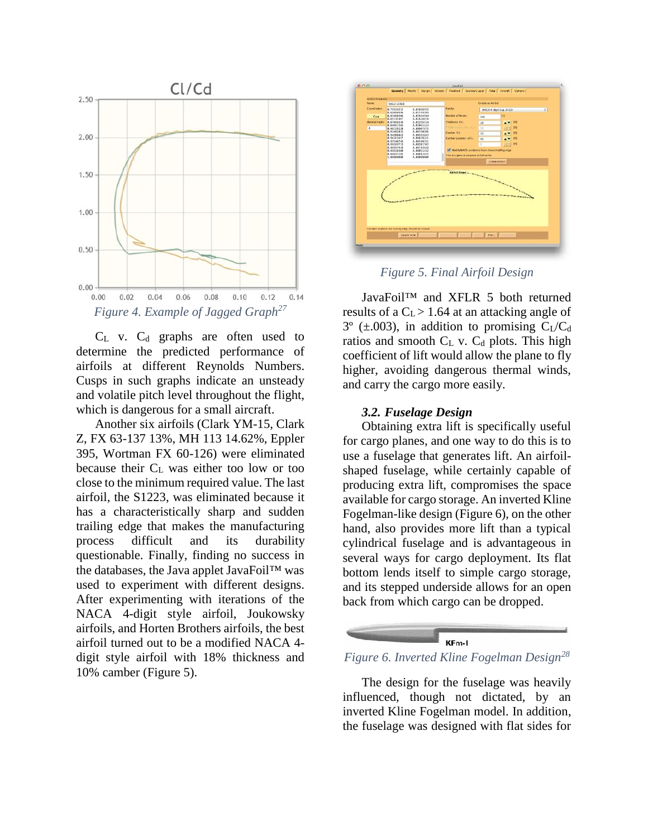

 $C_L$  v.  $C_d$  graphs are often used to determine the predicted performance of airfoils at different Reynolds Numbers. Cusps in such graphs indicate an unsteady and volatile pitch level throughout the flight, which is dangerous for a small aircraft.

Another six airfoils (Clark YM-15, Clark Z, FX 63-137 13%, MH 113 14.62%, Eppler 395, Wortman FX 60-126) were eliminated because their C<sub>L</sub> was either too low or too close to the minimum required value. The last airfoil, the S1223, was eliminated because it has a characteristically sharp and sudden trailing edge that makes the manufacturing process difficult and its durability questionable. Finally, finding no success in the databases, the Java applet JavaFoil™ was used to experiment with different designs. After experimenting with iterations of the NACA 4-digit style airfoil, Joukowsky airfoils, and Horten Brothers airfoils, the best airfoil turned out to be a modified NACA 4 digit style airfoil with 18% thickness and 10% camber (Figure 5).



*Figure 5. Final Airfoil Design*

JavaFoil™ and XFLR 5 both returned results of a  $C_L$  > 1.64 at an attacking angle of  $3^{\circ}$  ( $\pm$ .003), in addition to promising C<sub>L</sub>/C<sub>d</sub> ratios and smooth  $C_L$  v.  $C_d$  plots. This high coefficient of lift would allow the plane to fly higher, avoiding dangerous thermal winds, and carry the cargo more easily.

#### *3.2. Fuselage Design*

Obtaining extra lift is specifically useful for cargo planes, and one way to do this is to use a fuselage that generates lift. An airfoil shaped fuselage, while certainly capable of producing extra lift, compromises the space available for cargo storage. An inverted Kline Fogelman-like design (Figure 6), on the other hand, also provides more lift than a typical cylindrical fuselage and is advantageous in several ways for cargo deployment. Its flat bottom lends itself to simple cargo storage, and its stepped underside allows for an open back from which cargo can be dropped.

#### KF<sub>m-1</sub>

*Figure 6. Inverted Kline Fogelman Design<sup>28</sup>*

The design for the fuselage was heavily influenced, though not dictated, by an inverted Kline Fogelman model. In addition, the fuselage was designed with flat sides for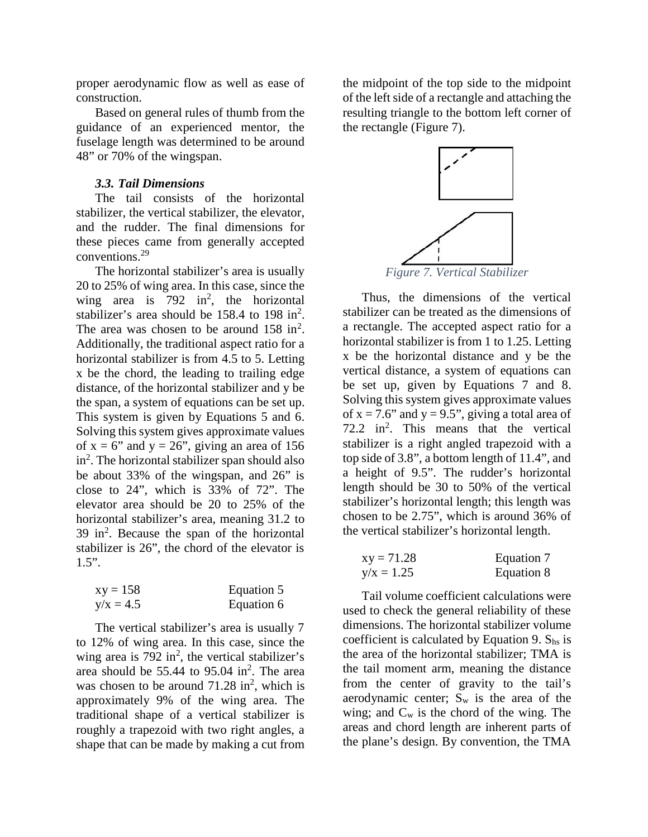proper aerodynamic flow as well as ease of construction.

Based on general rules of thumb from the guidance of an experienced mentor, the fuselage length was determined to be around 48" or 70% of the wingspan.

#### *3.3. Tail Dimensions*

The tail consists of the horizontal stabilizer, the vertical stabilizer, the elevator, and the rudder. The final dimensions for these pieces came from generally accepted conventions.<sup>29</sup>

The horizontal stabilizer's area is usually 20 to 25% of wing area. In this case, since the wing area is  $792$  in<sup>2</sup>, the horizontal stabilizer's area should be  $158.4$  to  $198$  in<sup>2</sup>. The area was chosen to be around  $158 \text{ in}^2$ . Additionally, the traditional aspect ratio for a horizontal stabilizer is from 4.5 to 5. Letting x be the chord, the leading to trailing edge distance, of the horizontal stabilizer and y be the span, a system of equations can be set up. This system is given by Equations 5 and 6. Solving this system gives approximate values of  $x = 6$ " and  $y = 26$ ", giving an area of 156  $\sin^2$ . The horizontal stabilizer span should also to be about 33% of the wingspan, and 26" is close to 24", which is 33% of 72". The elevator area should be 20 to 25% of the horizontal stabilizer's area, meaning 31.2 to 39 in<sup>2</sup> . Because the span of the horizontal stabilizer is 26", the chord of the elevator is 1.5".

| $xy = 158$  | Equation 5 |
|-------------|------------|
| $y/x = 4.5$ | Equation 6 |

The vertical stabilizer's area is usually 7 to 12% of wing area. In this case, since the wing area is  $792 \text{ in}^2$ , the vertical stabilizer's area should be  $55.44$  to  $95.04$  in<sup>2</sup>. The area was chosen to be around  $71.28 \text{ in}^2$ , which is approximately 9% of the wing area. The traditional shape of a vertical stabilizer is roughly a trapezoid with two right angles, a shape that can be made by making a cut from

the midpoint of the top side to the midpoint of the left side of a rectangle and attaching the resulting triangle to the bottom left corner of the rectangle (Figure 7).



Thus, the dimensions of the vertical stabilizer can be treated as the dimensions of a rectangle. The accepted aspect ratio for a horizontal stabilizer is from 1 to 1.25. Letting x be the horizontal distance and y be the vertical distance, a system of equations can be set up, given by Equations 7 and 8. Solving this system gives approximate values of  $x = 7.6$ " and  $y = 9.5$ ", giving a total area of  $72.2$  in<sup>2</sup>. This means that the vertical stabilizer is a right angled trapezoid with a top side of 3.8", a bottom length of 11.4", and a height of 9.5". The rudder's horizontal length should be 30 to 50% of the vertical stabilizer's horizontal length; this length was chosen to be 2.75", which is around 36% of the vertical stabilizer's horizontal length.

| $xy = 71.28$ | Equation 7 |
|--------------|------------|
| $y/x = 1.25$ | Equation 8 |

Tail volume coefficient calculations were used to check the general reliability of these dimensions. The horizontal stabilizer volume coefficient is calculated by Equation 9.  $S_{hs}$  is the area of the horizontal stabilizer; TMA is the tail moment arm, meaning the distance from the center of gravity to the tail's aerodynamic center;  $S_w$  is the area of the wing; and  $C_w$  is the chord of the wing. The areas and chord length are inherent parts of the plane's design. By convention, the TMA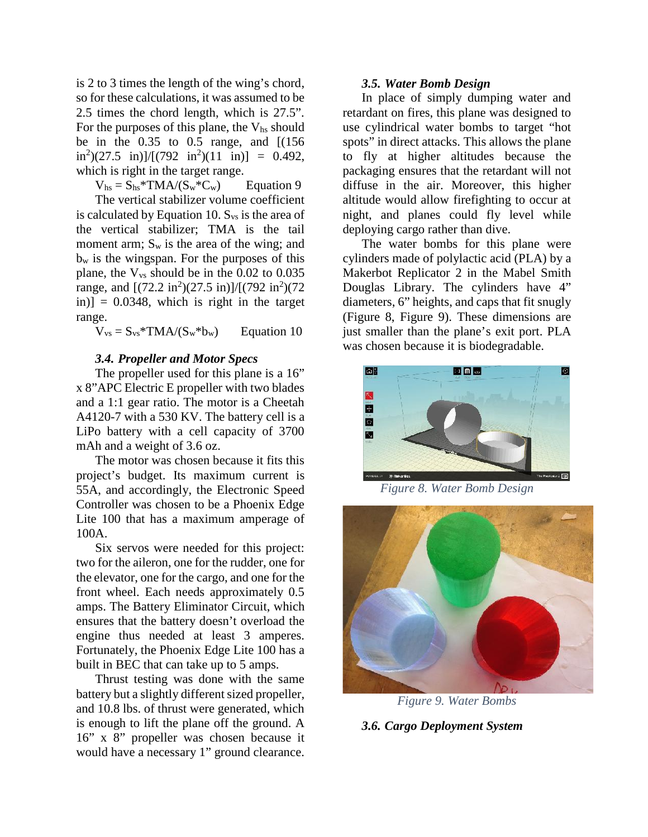is 2 to 3 times the length of the wing's chord, so for these calculations, it was assumed to be 2.5 times the chord length, which is 27.5". For the purposes of this plane, the  $V_{hs}$  should be in the 0.35 to 0.5 range, and [(156  $\text{in}^2$ )(27.5 in)]/[(792 in<sup>2</sup>)(11 in)] = 0.492, which is right in the target range.

 $V_{hs} = S_{hs}$ \*TMA/ $(S_w$ \* $C_w)$  Equation 9

The vertical stabilizer volume coefficient is calculated by Equation 10.  $S_{vs}$  is the area of the vertical stabilizer; TMA is the tail moment arm;  $S_w$  is the area of the wing; and  $b_w$  is the wingspan. For the purposes of this plane, the  $V_{vs}$  should be in the 0.02 to 0.035 range, and  $[(72.2 \text{ in}^2)(27.5 \text{ in})]/[(792 \text{ in}^2)(72 \text{ I})]$  $\pi$  in)] = 0.0348, which is right in the target range.

 $V_{vs} = S_{vs} * TMA/(S_w * b_w)$  Equation 10

#### *3.4. Propeller and Motor Specs*

The propeller used for this plane is a  $16$ " x 8"APC Electric E propeller with two blades and a 1:1 gear ratio. The motor is a Cheetah A4120-7 with a 530 KV. The battery cell is a LiPo battery with a cell capacity of 3700 mAh and a weight of 3.6 oz.

The motor was chosen because it fits this project's budget. Its maximum current is 55A, and accordingly, the Electronic Speed Controller was chosen to be a Phoenix Edge Lite 100 that has a maximum amperage of 100A.

Six servos were needed for this project: two for the aileron, one for the rudder, one for the elevator, one for the cargo, and one for the front wheel. Each needs approximately 0.5 amps. The Battery Eliminator Circuit, which ensures that the battery doesn't overload the engine thus needed at least 3 amperes. Fortunately, the Phoenix Edge Lite 100 has a built in BEC that can take up to 5 amps.

Thrust testing was done with the same battery but a slightly different sized propeller, and 10.8 lbs. of thrust were generated, which is enough to lift the plane off the ground. A 16" x 8" propeller was chosen because it would have a necessary 1" ground clearance.

#### *3.5. Water Bomb Design*

In place of simply dumping water and retardant on fires, this plane was designed to use cylindrical water bombs to target "hot spots" in direct attacks. This allows the plane to fly at higher altitudes because the packaging ensures that the retardant will not diffuse in the air. Moreover, this higher altitude would allow firefighting to occur at night, and planes could fly level while deploying cargo rather than dive.

The water bombs for this plane were cylinders made of polylactic acid (PLA) by a Makerbot Replicator 2 in the Mabel Smith Douglas Library. The cylinders have 4" diameters, 6" heights, and caps that fit snugly (Figure 8, Figure 9). These dimensions are just smaller than the plane's exit port. PLA was chosen because it is biodegradable.



*Figure 8. Water Bomb Design*



*Figure 9. Water Bombs*

*3.6. Cargo Deployment System*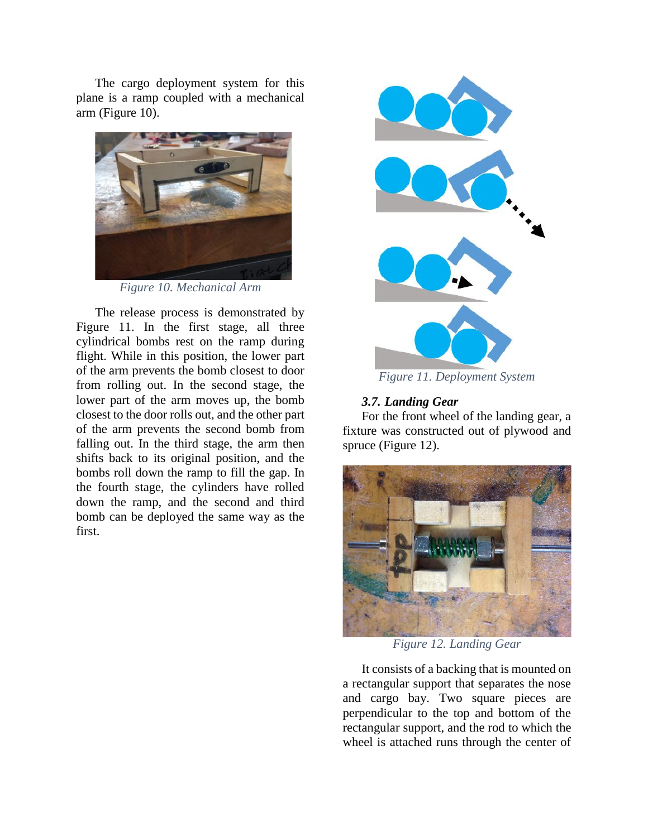The cargo deployment system for this plane is a ramp coupled with a mechanical arm (Figure 10).



*Figure 10. Mechanical Arm*

The release process is demonstrated by Figure 11. In the first stage, all three cylindrical bombs rest on the ramp during flight. While in this position, the lower part of the arm prevents the bomb closest to door from rolling out. In the second stage, the lower part of the arm moves up, the bomb closest to the door rolls out, and the other part of the arm prevents the second bomb from falling out. In the third stage, the arm then shifts back to its original position, and the bombs roll down the ramp to fill the gap. In the fourth stage, the cylinders have rolled down the ramp, and the second and third bomb can be deployed the same way as the first.



*Figure 11. Deployment System*

# *3.7. Landing Gear*

For the front wheel of the landing gear, a fixture was constructed out of plywood and spruce (Figure 12).



*Figure 12. Landing Gear*

It consists of a backing that is mounted on a rectangular support that separates the nose and cargo bay. Two square pieces are perpendicular to the top and bottom of the rectangular support, and the rod to which the wheel is attached runs through the center of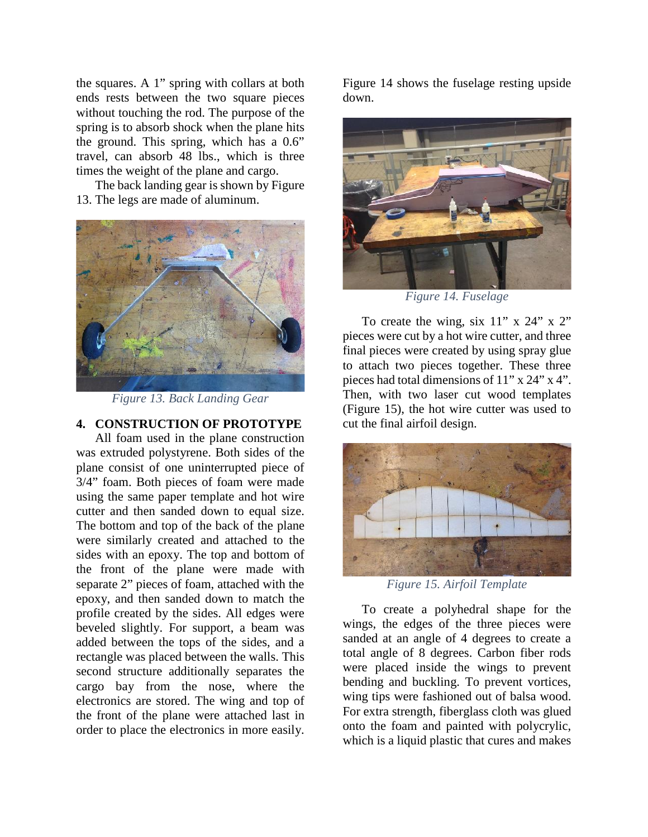the squares. A 1" spring with collars at both ends rests between the two square pieces without touching the rod. The purpose of the spring is to absorb shock when the plane hits the ground. This spring, which has a 0.6" travel, can absorb 48 lbs., which is three times the weight of the plane and cargo.

The back landing gear is shown by Figure 13. The legs are made of aluminum.



*Figure 13. Back Landing Gear*

## **4. CONSTRUCTION OF PROTOTYPE**

All foam used in the plane construction was extruded polystyrene. Both sides of the plane consist of one uninterrupted piece of 3/4" foam. Both pieces of foam were made using the same paper template and hot wire cutter and then sanded down to equal size. The bottom and top of the back of the plane were similarly created and attached to the sides with an epoxy. The top and bottom of the front of the plane were made with separate 2" pieces of foam, attached with the epoxy, and then sanded down to match the profile created by the sides. All edges were beveled slightly. For support, a beam was added between the tops of the sides, and a rectangle was placed between the walls. This second structure additionally separates the cargo bay from the nose, where the electronics are stored. The wing and top of the front of the plane were attached last in order to place the electronics in more easily.

Figure 14 shows the fuselage resting upside down.



*Figure 14. Fuselage*

To create the wing, six  $11''$  x  $24''$  x  $2''$ pieces were cut by a hot wire cutter, and three final pieces were created by using spray glue to attach two pieces together. These three pieces had total dimensions of 11" x 24" x 4". Then, with two laser cut wood templates (Figure 15), the hot wire cutter was used to cut the final airfoil design.



*Figure 15. Airfoil Template*

To create a polyhedral shape for the wings, the edges of the three pieces were sanded at an angle of 4 degrees to create a total angle of 8 degrees. Carbon fiber rods were placed inside the wings to prevent bending and buckling. To prevent vortices, wing tips were fashioned out of balsa wood. For extra strength, fiberglass cloth was glued onto the foam and painted with polycrylic, which is a liquid plastic that cures and makes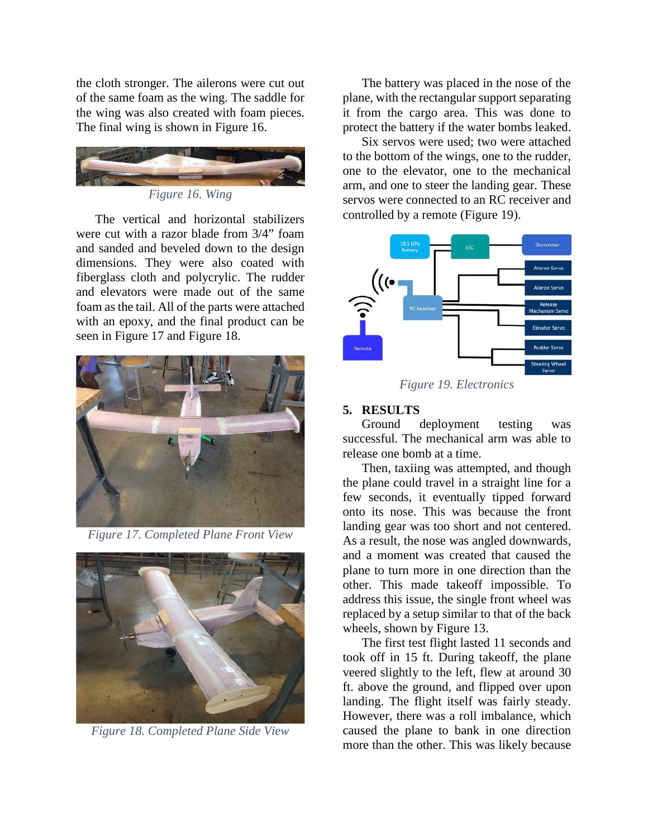the cloth stronger. The ailerons were cut out of the same foam as the wing. The saddle for the wing was also created with foam pieces. The final wing is shown in Figure 16.



*Figure 16. Wing*

The vertical and horizontal stabilizers were cut with a razor blade from 3/4" foam and sanded and beveled down to the design dimensions. They were also coated with fiberglass cloth and polycrylic. The rudder and elevators were made out of the same foam as the tail. All of the parts were attached with an epoxy, and the final product can be seen in Figure 17 and Figure 18.



*Figure 17. Completed Plane Front View*



*Figure 18. Completed Plane Side View*

The battery was placed in the nose of the plane, with the rectangular support separating it from the cargo area. This was done to protect the battery if the water bombs leaked.

Six servos were used; two were attached to the bottom of the wings, one to the rudder, one to the elevator, one to the mechanical arm, and one to steer the landing gear. These servos were connected to an RC receiver and controlled by a remote (Figure 19).

![](_page_10_Figure_10.jpeg)

*Figure 19. Electronics*

## **5. RESULTS**

Ground deployment testing was successful. The mechanical arm was able to release one bomb at a time.

Then, taxiing was attempted, and though the plane could travel in a straight line for a few seconds, it eventually tipped forward onto its nose. This was because the front landing gear was too short and not centered. As a result, the nose was angled downwards, and a moment was created that caused the plane to turn more in one direction than the other. This made takeoff impossible. To address this issue, the single front wheel was replaced by a setup similar to that of the back wheels, shown by Figure 13.

The first test flight lasted 11 seconds and took off in 15 ft. During takeoff, the plane veered slightly to the left, flew at around 30 ft. above the ground, and flipped over upon landing. The flight itself was fairly steady. However, there was a roll imbalance, which caused the plane to bank in one direction more than the other. This was likely because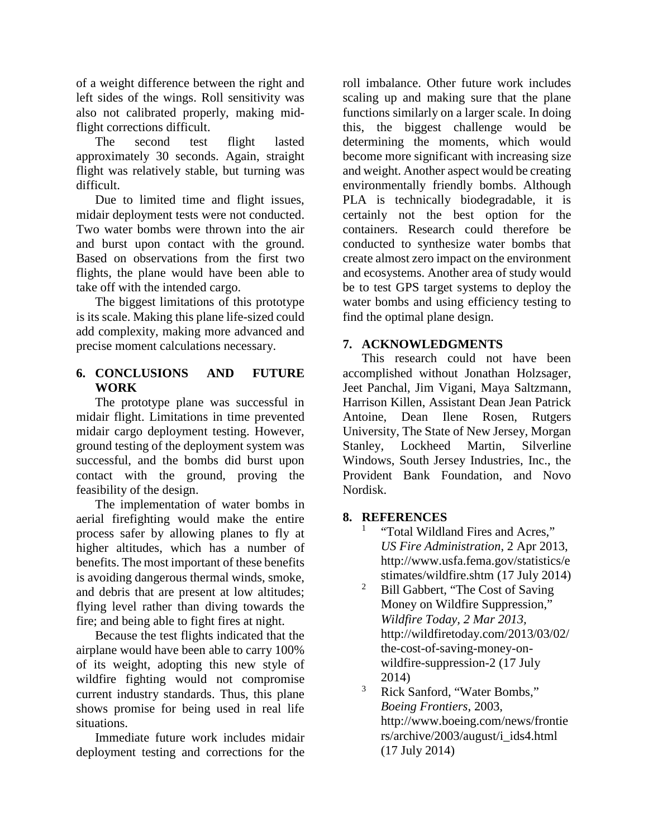of a weight difference between the right and left sides of the wings. Roll sensitivity was also not calibrated properly, making midflight corrections difficult.

The second test flight lasted approximately 30 seconds. Again, straight flight was relatively stable, but turning was difficult.

Due to limited time and flight issues, midair deployment tests were not conducted. Two water bombs were thrown into the air and burst upon contact with the ground. Based on observations from the first two flights, the plane would have been able to take off with the intended cargo.

The biggest limitations of this prototype is its scale. Making this plane life-sized could add complexity, making more advanced and precise moment calculations necessary.

# **6. CONCLUSIONS AND FUTURE WORK**

The prototype plane was successful in midair flight. Limitations in time prevented Antoine, midair cargo deployment testing. However, ground testing of the deployment system was successful, and the bombs did burst upon contact with the ground, proving the feasibility of the design.

The implementation of water bombs in aerial firefighting would make the entire process safer by allowing planes to fly at higher altitudes, which has a number of benefits. The most important of these benefits is avoiding dangerous thermal winds, smoke, and debris that are present at low altitudes; flying level rather than diving towards the fire; and being able to fight fires at night.

Because the test flights indicated that the airplane would have been able to carry 100% of its weight, adopting this new style of wildfire fighting would not compromise current industry standards. Thus, this plane shows promise for being used in real life situations.

Immediate future work includes midair deployment testing and corrections for the roll imbalance. Other future work includes scaling up and making sure that the plane functions similarly on a larger scale. In doing this, the biggest challenge would be determining the moments, which would become more significant with increasing size and weight. Another aspect would be creating environmentally friendly bombs. Although PLA is technically biodegradable, it is certainly not the best option for the containers. Research could therefore be conducted to synthesize water bombs that create almost zero impact on the environment and ecosystems. Another area of study would be to test GPS target systems to deploy the water bombs and using efficiency testing to find the optimal plane design.

# **7. ACKNOWLEDGMENTS**

This research could not have been accomplished without Jonathan Holzsager, Jeet Panchal, Jim Vigani, Maya Saltzmann, Harrison Killen, Assistant Dean Jean Patrick Dean Ilene Rosen, Rutgers University, The State of New Jersey, Morgan Stanley, Lockheed Martin, Silverline Windows, South Jersey Industries, Inc., the Provident Bank Foundation, and Novo Nordisk.

# **8. REFERENCES**

- "Total Wildland Fires and Acres." *US Fire Administration*, 2 Apr 2013, http://www.usfa.fema.gov/statistics/e stimates/wildfire.shtm (17 July 2014)
- <sup>2</sup> Bill Gabbert, "The Cost of Saving Money on Wildfire Suppression," *Wildfire Today, 2 Mar 2013,* http://wildfiretoday.com/2013/03/02/ the-cost-of-saving-money-on wildfire-suppression-2 (17 July 2014)
- <sup>3</sup> Rick Sanford, "Water Bombs," *Boeing Frontiers*, 2003, http://www.boeing.com/news/frontie rs/archive/2003/august/i\_ids4.html (17 July 2014)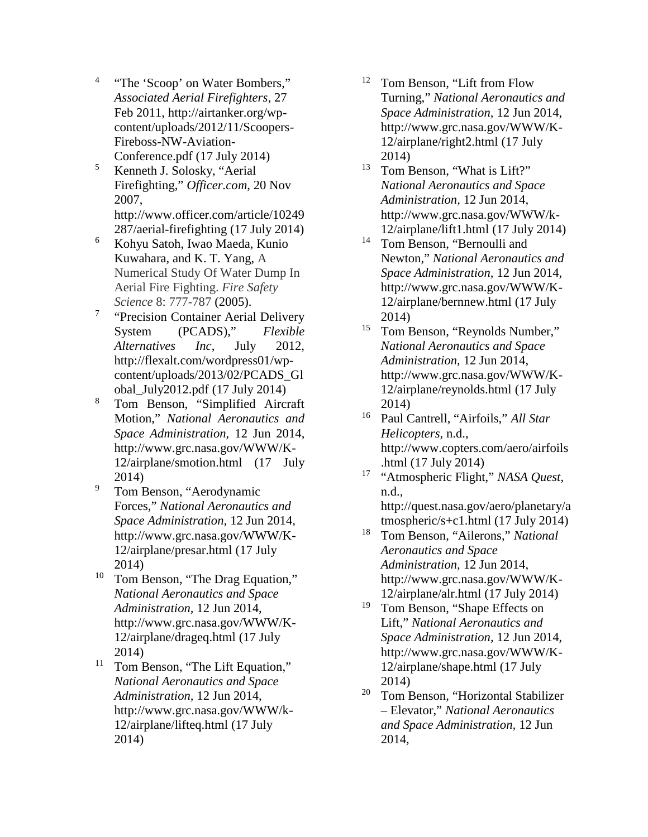- <sup>4</sup> "The 'Scoop' on Water Bombers," *Associated Aerial Firefighters*, 27 Feb 2011, http://airtanker.org/wp content/uploads/2012/11/Scoopers- Fireboss-NW-Aviation- Conference.pdf (17 July 2014)
- <sup>5</sup> Kenneth J. Solosky, "Aerial Firefighting," *Officer.com*, 20 Nov 2007, http://www.officer.com/article/10249 287/aerial-firefighting (17 July 2014)
- <sup>6</sup> Kohyu Satoh, Iwao Maeda, Kunio Kuwahara, and K. T. Yang, A Numerical Study Of Water Dump In Aerial Fire Fighting. *Fire Safety Science* 8: 777-787 (2005).
- <sup>7</sup> "Precision Container Aerial Delivery System (PCADS)," *Flexible Alternatives Inc*, July 2012, http://flexalt.com/wordpress01/wp content/uploads/2013/02/PCADS\_Gl obal\_July2012.pdf (17 July 2014)
- <sup>8</sup> Tom Benson, "Simplified Aircraft Motion," *National Aeronautics and Space Administration,* 12 Jun 2014, http://www.grc.nasa.gov/WWW/K- 12/airplane/smotion.html (17 July 2014)
- <sup>9</sup> Tom Benson, "Aerodynamic Forces," *National Aeronautics and Space Administration,* 12 Jun 2014, http://www.grc.nasa.gov/WWW/K- 12/airplane/presar.html (17 July 2014)
- <sup>10</sup> Tom Benson, "The Drag Equation," *National Aeronautics and Space Administration,* 12 Jun 2014, http://www.grc.nasa.gov/WWW/K- 12/airplane/drageq.html (17 July 2014)
- <sup>11</sup> Tom Benson, "The Lift Equation," *National Aeronautics and Space Administration,* 12 Jun 2014, http://www.grc.nasa.gov/WWW/k- 12/airplane/lifteq.html (17 July 2014)
- <sup>12</sup> Tom Benson, "Lift from Flow Turning," *National Aeronautics and Space Administration,* 12 Jun 2014, http://www.grc.nasa.gov/WWW/K- 12/airplane/right2.html (17 July 2014)
- <sup>13</sup> Tom Benson, "What is Lift?" *National Aeronautics and Space Administration,* 12 Jun 2014, http://www.grc.nasa.gov/WWW/k- 12/airplane/lift1.html (17 July 2014)
- <sup>14</sup> Tom Benson, "Bernoulli and Newton," *National Aeronautics and Space Administration,* 12 Jun 2014, http://www.grc.nasa.gov/WWW/K- 12/airplane/bernnew.html (17 July 2014)
- <sup>15</sup> Tom Benson, "Reynolds Number," *National Aeronautics and Space Administration,* 12 Jun 2014, http://www.grc.nasa.gov/WWW/K- 12/airplane/reynolds.html (17 July 2014)
- <sup>16</sup> Paul Cantrell, "Airfoils," *All Star Helicopters*, n.d., http://www.copters.com/aero/airfoils .html (17 July 2014)
- <sup>17</sup> "Atmospheric Flight," *NASA Quest*, n.d., http://quest.nasa.gov/aero/planetary/a tmospheric/s+c1.html (17 July 2014)
- <sup>18</sup> Tom Benson, "Ailerons," *National Aeronautics and Space Administration,* 12 Jun 2014, http://www.grc.nasa.gov/WWW/K- 12/airplane/alr.html (17 July 2014)
- <sup>19</sup> Tom Benson, "Shape Effects on Lift," *National Aeronautics and Space Administration,* 12 Jun 2014, http://www.grc.nasa.gov/WWW/K- 12/airplane/shape.html (17 July 2014)
- <sup>20</sup> Tom Benson, "Horizontal Stabilizer – Elevator," *National Aeronautics and Space Administration,* 12 Jun 2014,